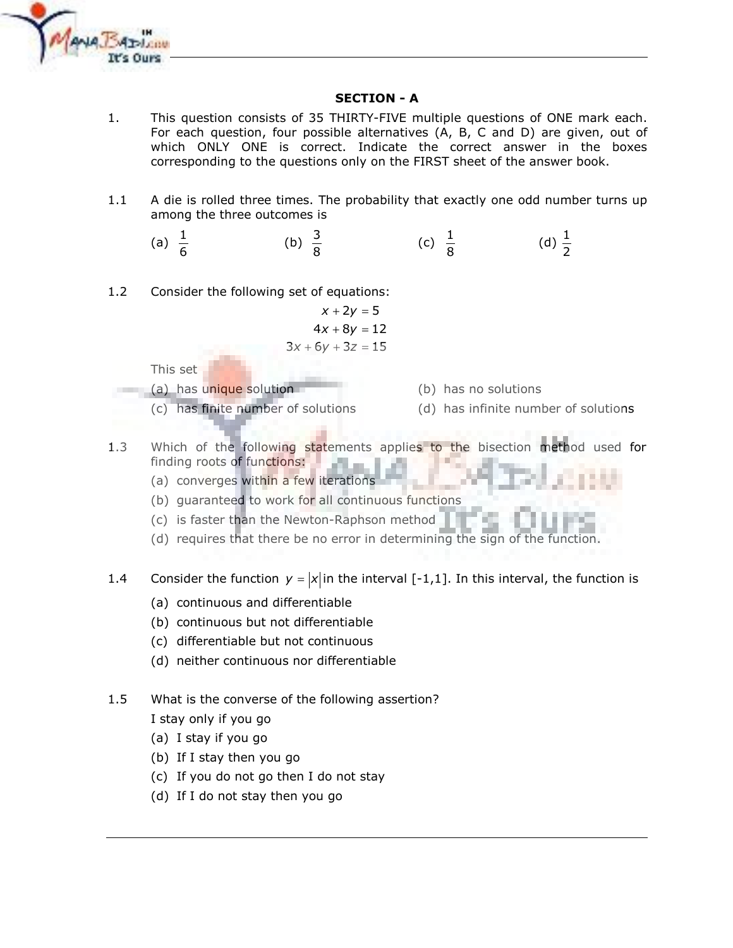

## **SECTION - A**

- $1<sub>1</sub>$ This question consists of 35 THIRTY-FIVE multiple questions of ONE mark each. For each question, four possible alternatives (A, B, C and D) are given, out of which ONLY ONE is correct. Indicate the correct answer in the boxes corresponding to the questions only on the FIRST sheet of the answer book.
- $1.1$ A die is rolled three times. The probability that exactly one odd number turns up among the three outcomes is
	- (c)  $\frac{1}{8}$ (d)  $\frac{1}{2}$ (a)  $\frac{1}{6}$ (b)  $\frac{3}{6}$
- $1.2$ Consider the following set of equations:

$$
x + 2y = 5
$$
  
4x + 8y = 12  

$$
3x + 6y + 3z = 15
$$

This set

(a) has unique solution

- (c) has finite number of solutions
- (b) has no solutions
- (d) has infinite number of solutions
- Which of the following statements applies to the bisection method used for  $1.3$ finding roots of functions:
	- (a) converges within a few iterations
	- (b) guaranteed to work for all continuous functions
	- (c) is faster than the Newton-Raphson method
	- (d) requires that there be no error in determining the sign of the function.

Consider the function  $y = |x|$  in the interval [-1,1]. In this interval, the function is 1.4

- (a) continuous and differentiable
- (b) continuous but not differentiable
- (c) differentiable but not continuous
- (d) neither continuous nor differentiable
- What is the converse of the following assertion?  $1.5$ I stay only if you go
	- (a) I stay if you go
	- (b) If I stay then you go
	- (c) If you do not go then I do not stay
	- (d) If I do not stay then you go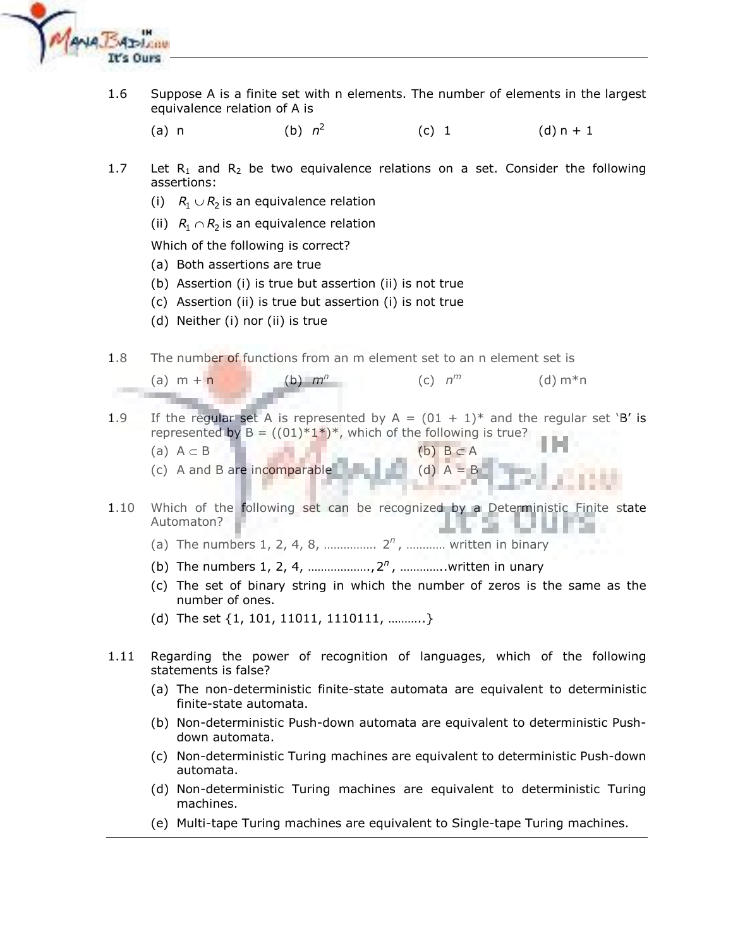

- 1.6 Suppose A is a finite set with n elements. The number of elements in the largest equivalence relation of A is
	- $(a)$  n (b)  $n^2$  $(c) 1$  $(d) n + 1$
- $1.7$ Let  $R_1$  and  $R_2$  be two equivalence relations on a set. Consider the following assertions:
	- (i)  $R_1 \cup R_2$  is an equivalence relation
	- (ii)  $R_1 \cap R_2$  is an equivalence relation

Which of the following is correct?

- (a) Both assertions are true
- (b) Assertion (i) is true but assertion (ii) is not true
- (c) Assertion (ii) is true but assertion (i) is not true
- (d) Neither (i) nor (ii) is true
- 1.8 The number of functions from an m element set to an n element set is
	- (a)  $m + n$ (b)  $m<sup>n</sup>$  $(c)$   $n^m$  $(d) m*n$
- If the regular set A is represented by  $A = (01 + 1)^*$  and the regular set 'B' is 1.9 represented by  $B = ((01)^*1^*)^*$ , which of the following is true?
	- (a)  $A \subset B$
	- $(c)$  A and B are incomparable (d)  $A = B$
- Which of the following set can be recognized by a Deterministic Finite state  $1.10$ Automaton?
	-
	-
	- (c) The set of binary string in which the number of zeros is the same as the number of ones.
	- (d) The set  $\{1, 101, 11011, 1110111, \dots \}$
- $1.11$ Regarding the power of recognition of languages, which of the following statements is false?
	- (a) The non-deterministic finite-state automata are equivalent to deterministic finite-state automata.
	- (b) Non-deterministic Push-down automata are equivalent to deterministic Pushdown automata.
	- (c) Non-deterministic Turing machines are equivalent to deterministic Push-down automata.
	- (d) Non-deterministic Turing machines are equivalent to deterministic Turing machines.
	- (e) Multi-tape Turing machines are equivalent to Single-tape Turing machines.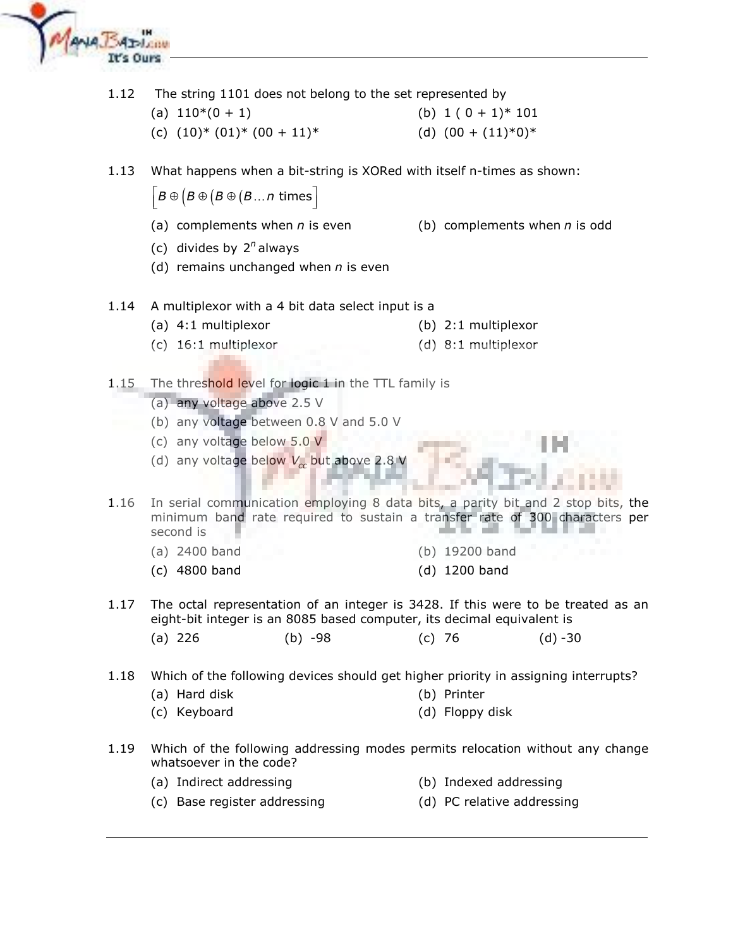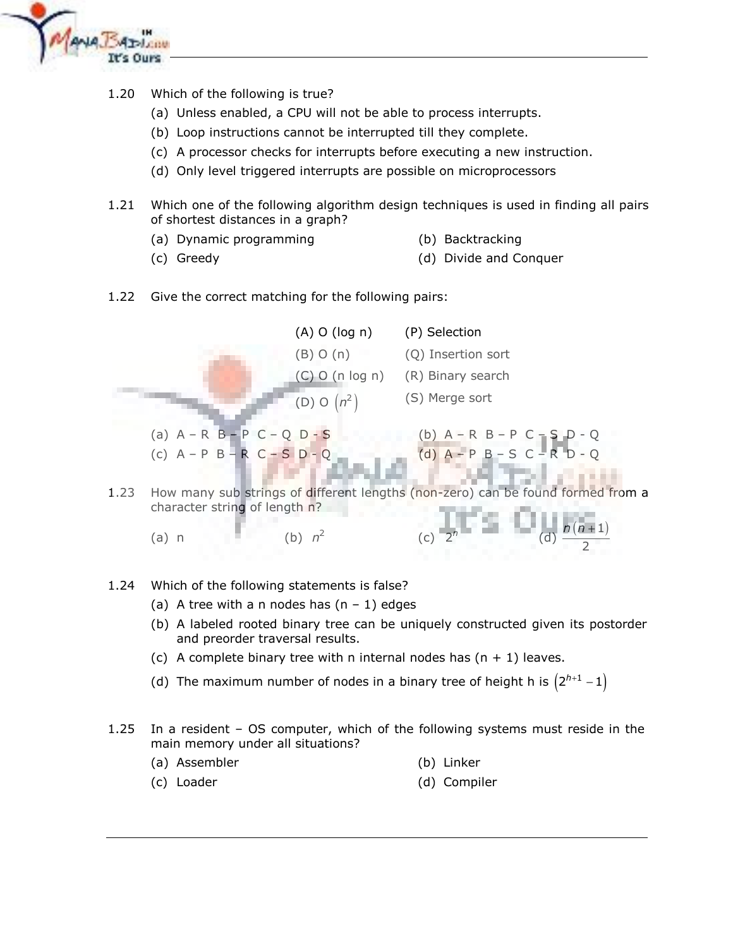

- Which of the following is true? 1.20
	- (a) Unless enabled, a CPU will not be able to process interrupts.
	- (b) Loop instructions cannot be interrupted till they complete.
	- (c) A processor checks for interrupts before executing a new instruction.
	- (d) Only level triggered interrupts are possible on microprocessors
- $1.21$ Which one of the following algorithm design techniques is used in finding all pairs of shortest distances in a graph?
	- (a) Dynamic programming
- (b) Backtracking

(c) Greedy

- (d) Divide and Conquer
- 1.22 Give the correct matching for the following pairs:



- 1.24 Which of the following statements is false?
	- (a) A tree with a n nodes has  $(n 1)$  edges
	- (b) A labeled rooted binary tree can be uniquely constructed given its postorder and preorder traversal results.
	- (c) A complete binary tree with n internal nodes has  $(n + 1)$  leaves.
	- (d) The maximum number of nodes in a binary tree of height h is  $(2^{h+1} 1)$
- $1.25$ In a resident - OS computer, which of the following systems must reside in the main memory under all situations?
	- (a) Assembler (b) Linker
	- (c) Loader (d) Compiler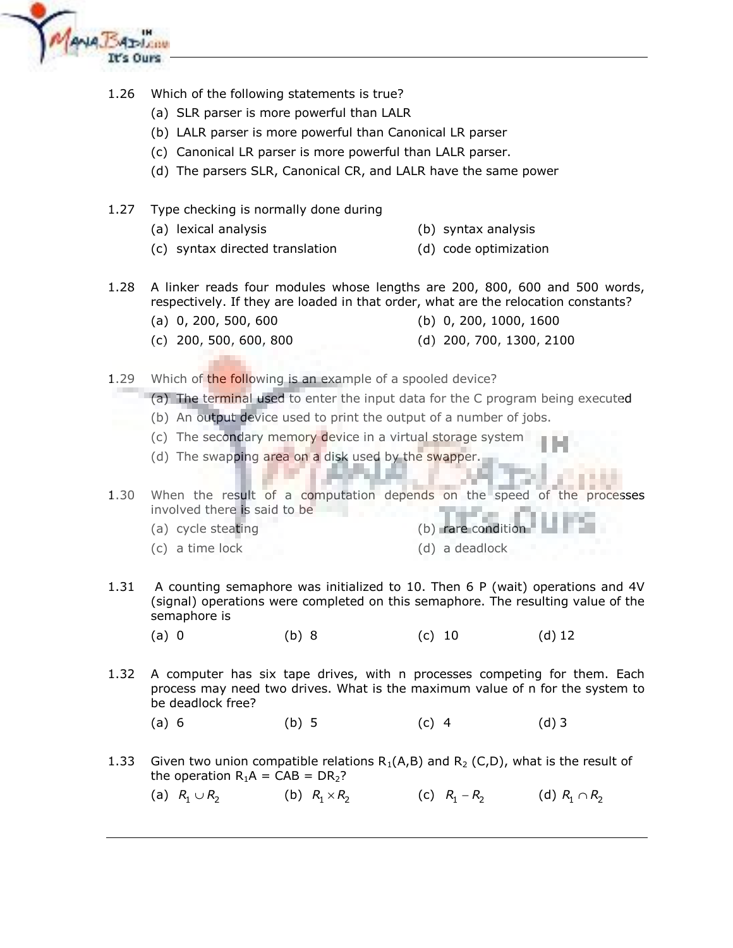

- 1.26 Which of the following statements is true?
	- (a) SLR parser is more powerful than LALR
	- (b) LALR parser is more powerful than Canonical LR parser
	- (c) Canonical LR parser is more powerful than LALR parser.
	- (d) The parsers SLR, Canonical CR, and LALR have the same power
- 1.27 Type checking is normally done during
	- (a) lexical analysis (b) syntax analysis
	- (c) syntax directed translation (d) code optimization
- A linker reads four modules whose lengths are 200, 800, 600 and 500 words, 1.28 respectively. If they are loaded in that order, what are the relocation constants?
	- $(a)$  0, 200, 500, 600
- (b)  $0, 200, 1000, 1600$
- $(c)$  200, 500, 600, 800 (d) 200, 700, 1300, 2100
- 1.29 Which of the following is an example of a spooled device?
	- (a) The terminal used to enter the input data for the C program being executed
	- (b) An output device used to print the output of a number of jobs.
	- (c) The secondary memory device in a virtual storage system
	- (d) The swapping area on a disk used by the swapper.

1.30 When the result of a computation depends on the speed of the processes involved there is said to be

- (a) cycle steating
- (c) a time lock

(b) rare condition (d) a deadlock

- A counting semaphore was initialized to 10. Then 6 P (wait) operations and 4V 1.31 (signal) operations were completed on this semaphore. The resulting value of the semaphore is
	- $(a) 0$  $(b) 8$  $(c) 10$ (d)  $12$
- 1.32 A computer has six tape drives, with n processes competing for them. Each process may need two drives. What is the maximum value of n for the system to be deadlock free?
	- $(a) 6$  $(b) 5$  $(c)$  4  $(d)$  3
- 1.33 Given two union compatible relations  $R_1(A,B)$  and  $R_2(C,D)$ , what is the result of the operation  $R_1A = CAB = DR_2$ ?
	- (c)  $R_1 R_2$  (d)  $R_1 \cap R_2$ (a)  $R_1 \cup R_2$ (b)  $R_1 \times R_2$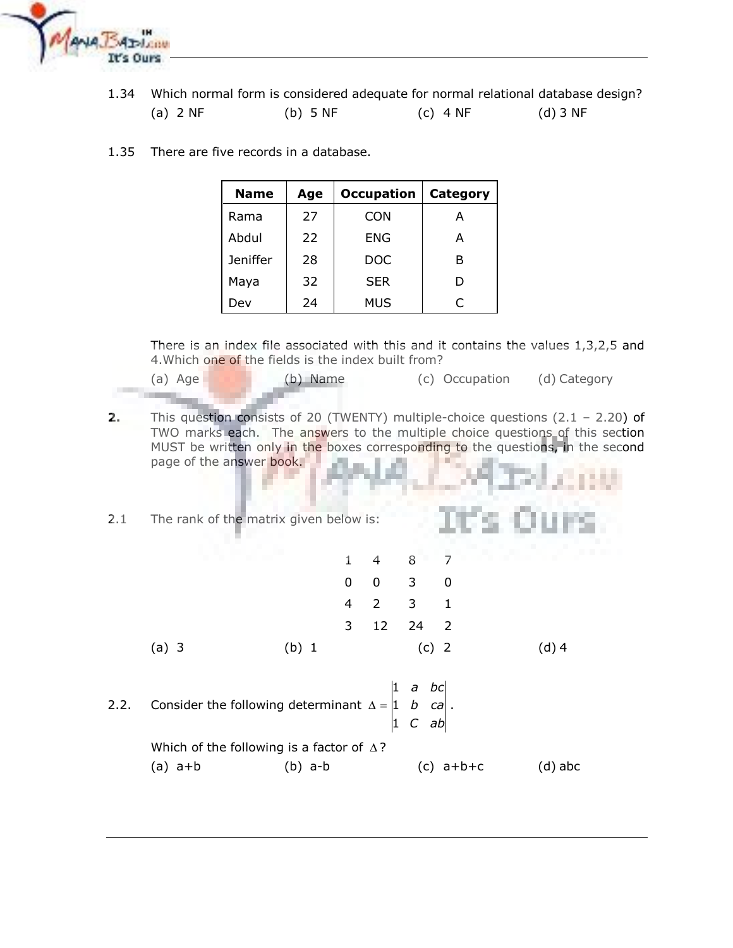

1.34 Which normal form is considered adequate for normal relational database design?

| $(a)$ 2 NF | $(b)$ 5 NF | (c) $4NF$ | (d) 3 NF |
|------------|------------|-----------|----------|
|------------|------------|-----------|----------|

1.35 There are five records in a database.

| <b>Name</b>     | Age | <b>Occupation</b> | <b>Category</b> |
|-----------------|-----|-------------------|-----------------|
| Rama            | 27  | <b>CON</b>        | А               |
| Abdul           | 22  | ENG               | A               |
| <b>Jeniffer</b> | 28  | DOC               | в               |
| Maya            | 32  | <b>SER</b>        | D               |
| Dev             | 24  | <b>MUS</b>        | C               |

There is an index file associated with this and it contains the values  $1,3,2,5$  and 4. Which one of the fields is the index built from?

- $(a)$  Age (b) Name (c) Occupation (d) Category
- $2.$ This question consists of 20 (TWENTY) multiple-choice questions  $(2.1 - 2.20)$  of TWO marks each. The answers to the multiple choice questions of this section MUST be written only in the boxes corresponding to the questions, in the second page of the answer book.

| 2.1 |  |  | The rank of the matrix given below is: |  |  |
|-----|--|--|----------------------------------------|--|--|
|     |  |  |                                        |  |  |

|       | a sa salawa |  |                             |  | $1 \quad 4 \quad 8 \quad 7$ |
|-------|-------------|--|-----------------------------|--|-----------------------------|
|       |             |  | $0 \quad 0 \quad 3 \quad 0$ |  |                             |
|       |             |  | 4 2 3 1                     |  |                             |
|       |             |  | 3 12 24 2                   |  |                             |
| (a) 3 | (b) 1       |  | $(c)$ 2                     |  | $(d)$ 4                     |

a bc  $\mathbf{1}$ Consider the following determinant  $\Delta = \begin{vmatrix} 1 & b & ca \end{vmatrix}$  $2.2.$  $1 \, C \, ab$ 

> Which of the following is a factor of  $\Delta$ ?  $(a)$  a+b  $(b)$  a-b  $(c)$  a+b+c  $(d)$  abc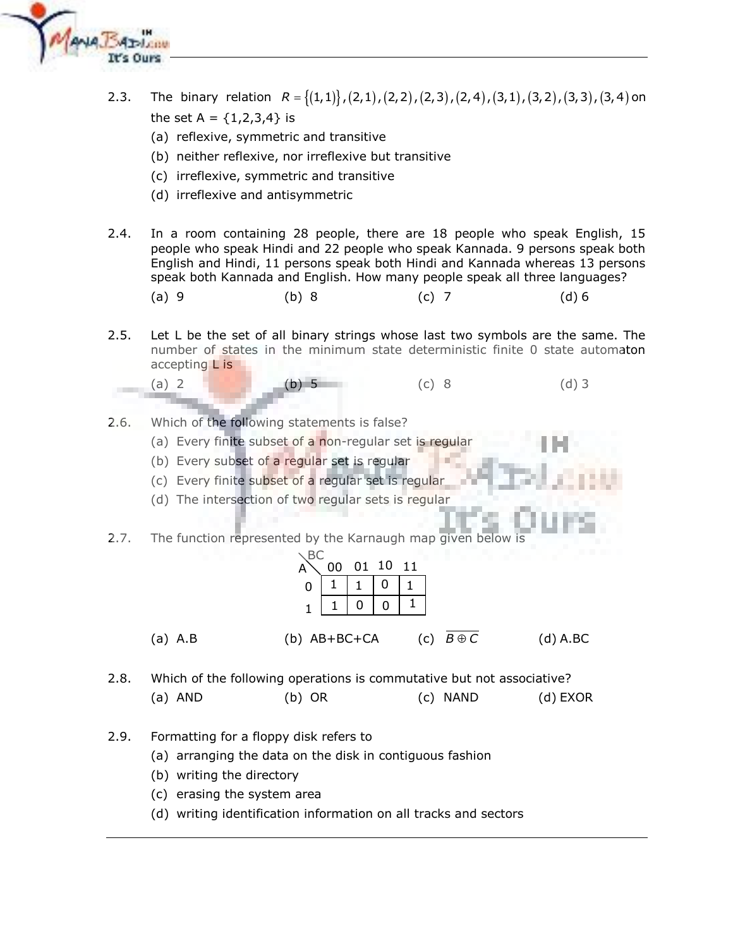

- The binary relation  $R = \{(1,1)\}$ ,  $(2,1)$ ,  $(2,2)$ ,  $(2,3)$ ,  $(2,4)$ ,  $(3,1)$ ,  $(3,2)$ ,  $(3,3)$ ,  $(3,4)$  on  $2.3.$ the set A =  $\{1,2,3,4\}$  is
	- (a) reflexive, symmetric and transitive
	- (b) neither reflexive, nor irreflexive but transitive
	- (c) irreflexive, symmetric and transitive
	- (d) irreflexive and antisymmetric
- $2.4.$ In a room containing 28 people, there are 18 people who speak English, 15 people who speak Hindi and 22 people who speak Kannada. 9 persons speak both English and Hindi, 11 persons speak both Hindi and Kannada whereas 13 persons speak both Kannada and English. How many people speak all three languages?
	- $(a)$  9  $(b) 8$  $(c)$  7  $(d) 6$
- $2.5.$ Let L be the set of all binary strings whose last two symbols are the same. The number of states in the minimum state deterministic finite 0 state automaton accepting L is

 $(c) 8$ 

 $(d)$  3

- 
- Which of the following statements is false?  $2.6.$

 $(a) 2$ 

(a) Every finite subset of a non-regular set is regular

 $b)$  5

- (b) Every subset of a regular set is regular
- (c) Every finite subset of a regular set is regular
- (d) The intersection of two regular sets is regular
- $2.7.$ The function represented by the Karnaugh map given below is

|         | А            | 00 | 01 10 11 |     |             |            |
|---------|--------------|----|----------|-----|-------------|------------|
|         |              |    |          |     |             |            |
|         |              |    |          |     |             |            |
| (a) A.B | (b) AB+BC+CA |    |          | (c) | $B\oplus C$ | $(d)$ A.BC |

- $2.8.$ Which of the following operations is commutative but not associative?  $(a)$  AND  $(b)$  OR (c) NAND  $(d)$  EXOR
- $2.9.$ Formatting for a floppy disk refers to
	- (a) arranging the data on the disk in contiguous fashion
	- (b) writing the directory
	- (c) erasing the system area
	- (d) writing identification information on all tracks and sectors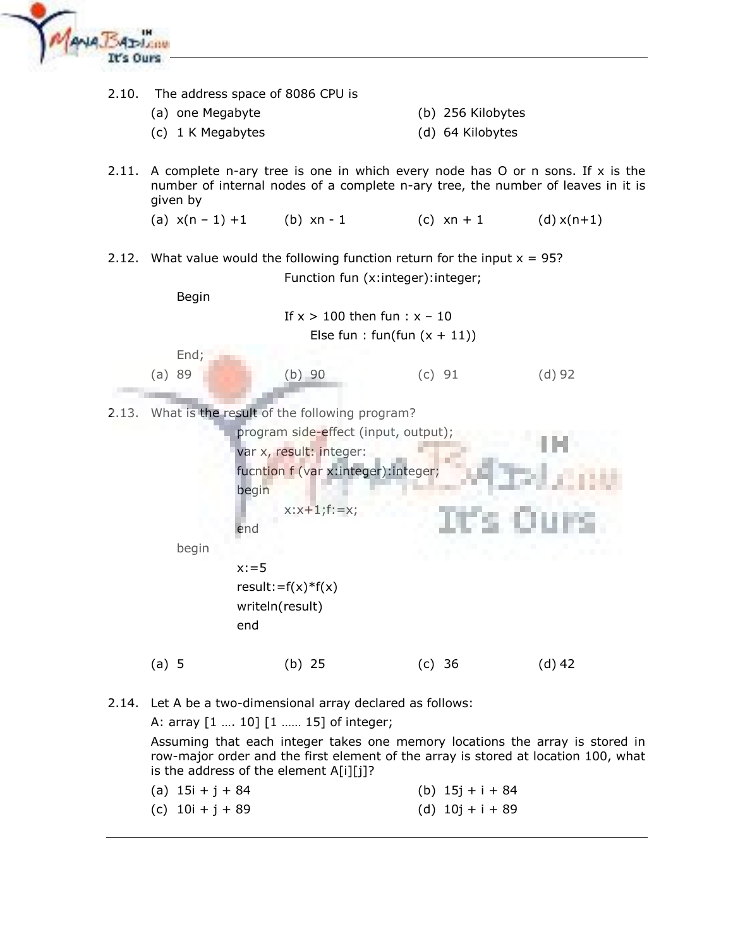



Assuming that each integer takes one memory locations the array is stored in row-major order and the first element of the array is stored at location 100, what is the address of the element A[i][j]?

| (a) $15i + j + 84$ | (b) $15j + i + 84$ |
|--------------------|--------------------|
| (c) $10i + j + 89$ | (d) $10j + i + 89$ |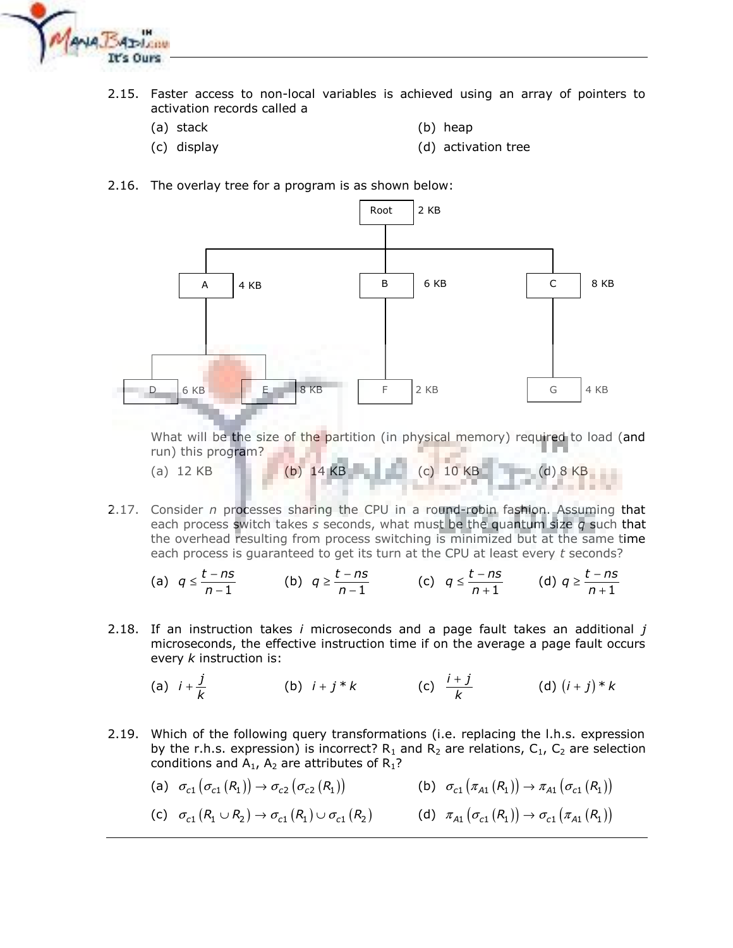

- 2.15. Faster access to non-local variables is achieved using an array of pointers to activation records called a
	- (a) stack

 $(a)$  12 KB

(b) heap

 $(c)$  10 KB

 $(d) 8 KB$ 

(c) display

- (d) activation tree
- 2.16. The overlay tree for a program is as shown below:



2.17. Consider n processes sharing the CPU in a round-robin fashion. Assuming that each process switch takes s seconds, what must be the quantum size q such that the overhead resulting from process switching is minimized but at the same time each process is guaranteed to get its turn at the CPU at least every t seconds?

 $(b)$  14 KB

(a) 
$$
q \le \frac{t - ns}{n - 1}
$$
 (b)  $q \ge \frac{t - ns}{n - 1}$  (c)  $q \le \frac{t - ns}{n + 1}$  (d)  $q \ge \frac{t - ns}{n + 1}$ 

2.18. If an instruction takes  $i$  microseconds and a page fault takes an additional  $j$ microseconds, the effective instruction time if on the average a page fault occurs every  $k$  instruction is:

(a) 
$$
i + \frac{j}{k}
$$
 (b)  $i + j * k$  (c)  $\frac{i + j}{k}$  (d)  $(i + j) * k$ 

2.19. Which of the following query transformations (i.e. replacing the l.h.s. expression by the r.h.s. expression) is incorrect?  $R_1$  and  $R_2$  are relations,  $C_1$ ,  $C_2$  are selection conditions and  $A_1$ ,  $A_2$  are attributes of  $R_1$ ?

(a) 
$$
\sigma_{c1}(\sigma_{c1}(R_1)) \to \sigma_{c2}(\sigma_{c2}(R_1))
$$
  
\n(b)  $\sigma_{c1}(\pi_{A1}(R_1)) \to \pi_{A1}(\sigma_{c1}(R_1))$   
\n(c)  $\sigma_{c1}(R_1 \cup R_2) \to \sigma_{c1}(R_1) \cup \sigma_{c1}(R_2)$   
\n(d)  $\pi_{A1}(\sigma_{c1}(R_1)) \to \sigma_{c1}(\pi_{A1}(R_1))$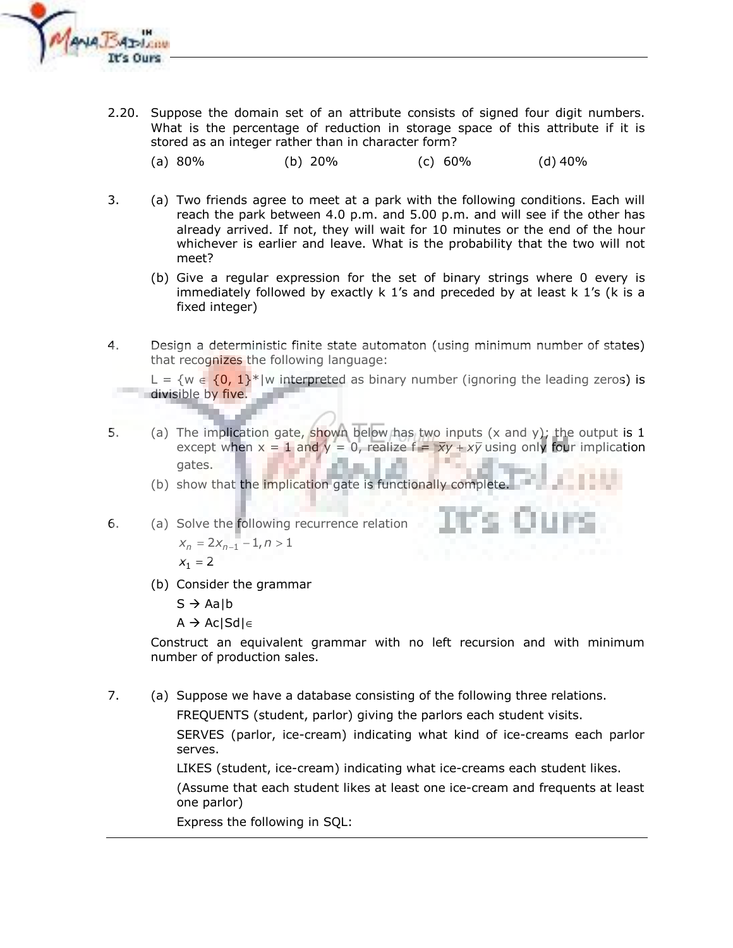

- 2.20. Suppose the domain set of an attribute consists of signed four digit numbers. What is the percentage of reduction in storage space of this attribute if it is stored as an integer rather than in character form?
	- $(a) 80%$  $(b)$  20%  $(d)$  40%  $(c) 60\%$
- 3. (a) Two friends agree to meet at a park with the following conditions. Each will reach the park between 4.0 p.m. and 5.00 p.m. and will see if the other has already arrived. If not, they will wait for 10 minutes or the end of the hour whichever is earlier and leave. What is the probability that the two will not meet?
	- (b) Give a regular expression for the set of binary strings where 0 every is immediately followed by exactly  $k$  1's and preceded by at least  $k$  1's ( $k$  is a fixed integer)
- 4. Design a deterministic finite state automaton (using minimum number of states) that recognizes the following language:

L = {w  $\in$  {0, 1}\*|w interpreted as binary number (ignoring the leading zeros) is divisible by five.

5. (a) The implication gate, shown below has two inputs  $(x \text{ and } y)$ ; the output is 1 except when  $x = 1$  and  $y = 0$ , realize  $f = \overline{xy} + x\overline{y}$  using only four implication gates.

(b) show that the implication gate is functionally complete.

- 6. (a) Solve the following recurrence relation  $x_n = 2x_{n-1} - 1, n > 1$  $X_1 = 2$ 
	- (b) Consider the grammar

 $S \rightarrow$  Aalb

 $A \rightarrow Ac |Sd| \in$ 

Construct an equivalent grammar with no left recursion and with minimum number of production sales.

7. (a) Suppose we have a database consisting of the following three relations.

> FREQUENTS (student, parlor) giving the parlors each student visits. SERVES (parlor, ice-cream) indicating what kind of ice-creams each parlor serves.

LIKES (student, ice-cream) indicating what ice-creams each student likes. (Assume that each student likes at least one ice-cream and frequents at least one parlor)

Express the following in SQL: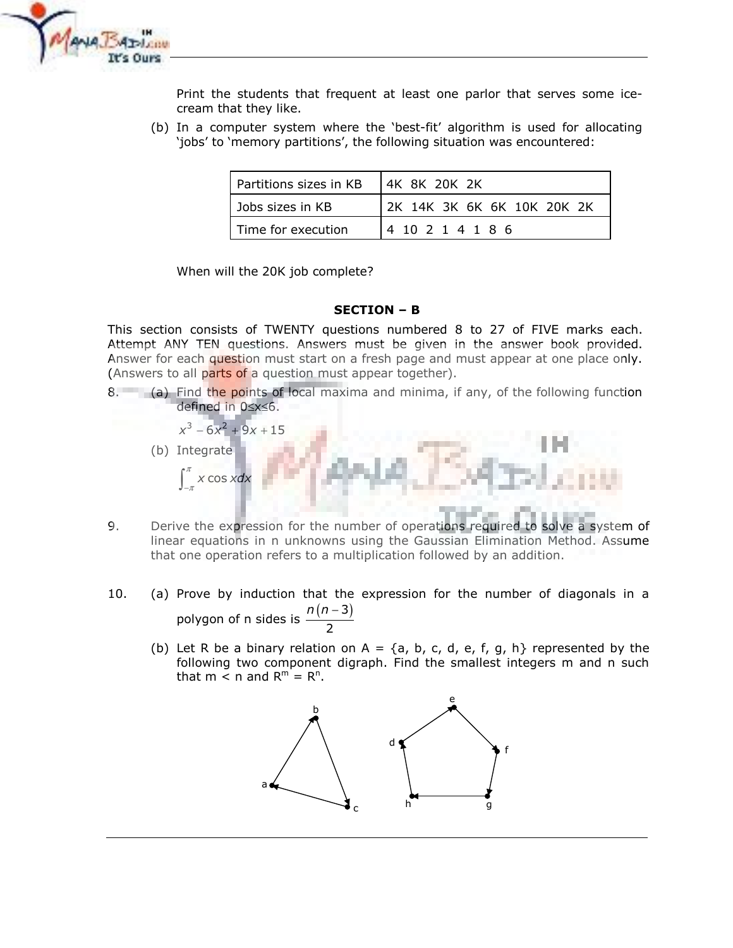

Print the students that frequent at least one parlor that serves some icecream that they like.

(b) In a computer system where the 'best-fit' algorithm is used for allocating 'jobs' to 'memory partitions', the following situation was encountered:

| Partitions sizes in KB | 4K 8K 20K 2K               |
|------------------------|----------------------------|
| Jobs sizes in KB       | 2K 14K 3K 6K 6K 10K 20K 2K |
| Time for execution     | 4 10 2 1 4 1 8 6           |

When will the 20K job complete?

## **SECTION - B**

This section consists of TWENTY questions numbered 8 to 27 of FIVE marks each. Attempt ANY TEN questions. Answers must be given in the answer book provided. Answer for each question must start on a fresh page and must appear at one place only. (Answers to all parts of a question must appear together).

- 8. (a) Find the points of local maxima and minima, if any, of the following function defined in 0≤x≤6.
	- $x^3$  6 $x^2$  + 9x + 15 (b) Integrate  $\int_{}^{\pi}$  x cos xdx
- 9. Derive the expression for the number of operations required to solve a system of linear equations in n unknowns using the Gaussian Elimination Method. Assume that one operation refers to a multiplication followed by an addition.
- $10.$ (a) Prove by induction that the expression for the number of diagonals in a polygon of n sides is  $\frac{n(n-3)}{2}$ 
	- (b) Let R be a binary relation on A =  $\{a, b, c, d, e, f, g, h\}$  represented by the following two component digraph. Find the smallest integers m and n such that  $m < n$  and  $R^m = R^n$ .

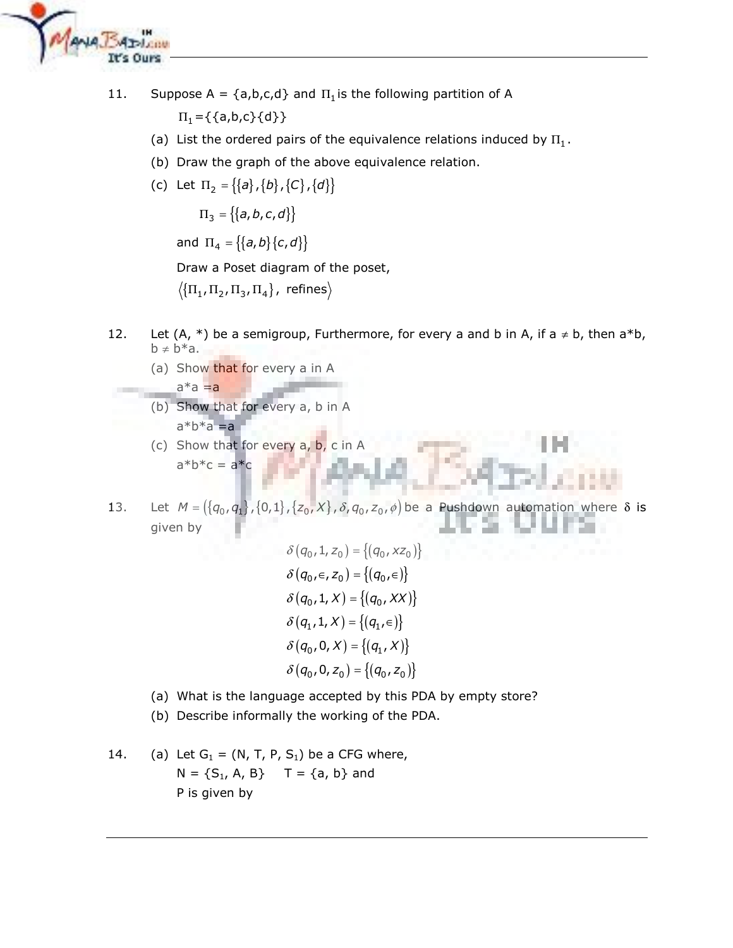

11. Suppose A =  $\{a,b,c,d\}$  and  $\Pi_1$  is the following partition of A

 $\Pi_1 = \{\{a,b,c\}\{d\}\}\$ 

- (a) List the ordered pairs of the equivalence relations induced by  $\Pi_1$ .
- (b) Draw the graph of the above equivalence relation.
- (c) Let  $\Pi_2 = \{\{a\}, \{b\}, \{C\}, \{d\}\}\$

 $\Pi_3 = \{ \{a, b, c, d\} \}$ 

and  $\Pi_4 = \{ \{a, b\} \{c, d\} \}$ 

Draw a Poset diagram of the poset,

 $\langle \{\Pi_1, \Pi_2, \Pi_3, \Pi_4\},\n\rangle$  refines

- Let  $(A, * )$  be a semigroup, Furthermore, for every a and b in A, if a  $\neq$  b, then a\*b, 12.  $b \neq b^*a$ .
	- (a) Show that for every a in A

$$
a^*a = a
$$

- (b) Show that for every a, b in A  $a*b*a=a$
- (c) Show that for every  $a, b, c$  in A  $a^*b^*c = a^*c$
- Let  $M = (\{q_0, q_1\}, \{0, 1\}, \{z_0, X\}, \delta, q_0, z_0, \phi)$  be a Pushdown automation where  $\delta$  is 13. given by

$$
\delta(q_0, 1, z_0) = \{(q_0, xz_0)\}\
$$

$$
\delta(q_0, \epsilon, z_0) = \{(q_0, \epsilon)\}\
$$

$$
\delta(q_0, 1, X) = \{(q_0, XX)\}\
$$

$$
\delta(q_1, 1, X) = \{(q_1, \epsilon)\}\
$$

$$
\delta(q_0, 0, X) = \{(q_1, X)\}\
$$

$$
\delta(q_0, 0, z_0) = \{(q_0, z_0)\}\
$$

- (a) What is the language accepted by this PDA by empty store?
- (b) Describe informally the working of the PDA.
- 14. (a) Let  $G_1 = (N, T, P, S_1)$  be a CFG where,  $N = \{S_1, A, B\}$  T = {a, b} and P is given by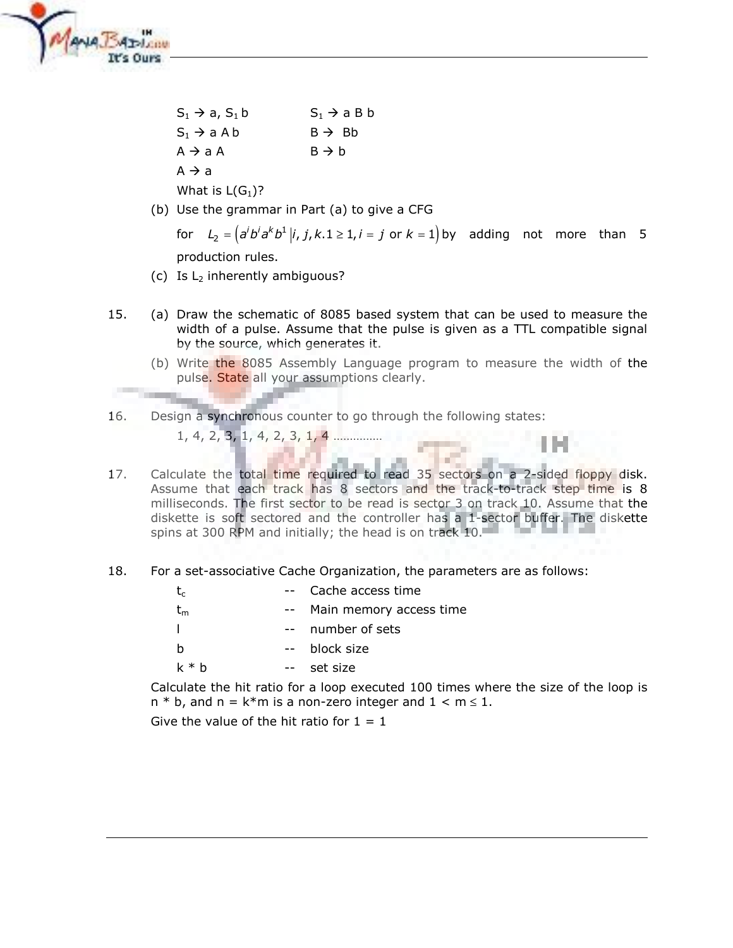

 $S_1 \rightarrow a$ ,  $S_1 b$  $S_1 \rightarrow a \cdot B b$  $S_1 \rightarrow aAb$  $B \rightarrow Bb$  $A \rightarrow aA$  $B \rightarrow b$  $A \rightarrow a$ 

What is  $L(G_1)$ ?

(b) Use the grammar in Part (a) to give a CFG

for  $L_2 = (a^i b^i a^k b^1 | i, j, k.1 \ge 1, i = j$  or  $k = 1$  by adding not more than 5 production rules.

- (c) Is  $L_2$  inherently ambiguous?
- 15. (a) Draw the schematic of 8085 based system that can be used to measure the width of a pulse. Assume that the pulse is given as a TTL compatible signal by the source, which generates it.
	- (b) Write the 8085 Assembly Language program to measure the width of the pulse. State all your assumptions clearly.

Design a synchronous counter to go through the following states: 16.  $1, 4, 2, 3, 1, 4, 2, 3, 1, 4$  ..............

- Calculate the total time required to read 35 sectors on a 2-sided floppy disk. 17. Assume that each track has 8 sectors and the track-to-track step time is 8 milliseconds. The first sector to be read is sector 3 on track 10. Assume that the diskette is soft sectored and the controller has a 1-sector buffer. The diskette spins at 300 RPM and initially; the head is on track 10.
- 18. For a set-associative Cache Organization, the parameters are as follows:

| $t_{c}$   | -- Cache access time    |
|-----------|-------------------------|
| $\sf t_m$ | Main memory access time |
|           | number of sets          |
| h         | block size              |
| k * h     | set size                |
|           |                         |

Calculate the hit ratio for a loop executed 100 times where the size of the loop is  $n * b$ , and  $n = k * m$  is a non-zero integer and  $1 < m \le 1$ .

Give the value of the hit ratio for  $1 = 1$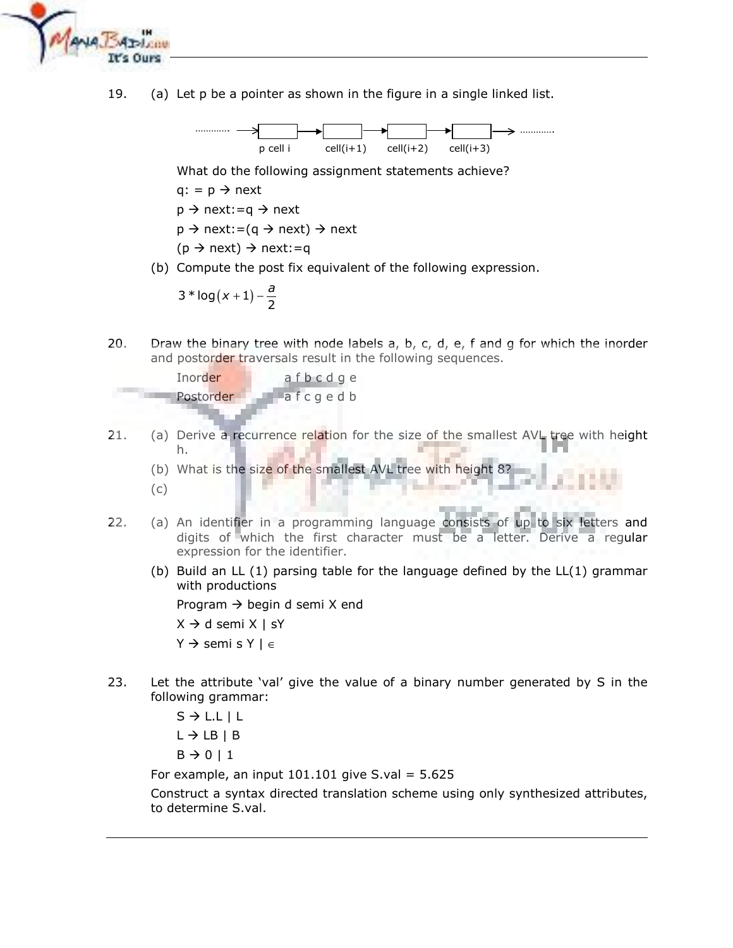

19. (a) Let p be a pointer as shown in the figure in a single linked list.



What do the following assignment statements achieve?

 $q: = p \rightarrow next$ 

 $p \rightarrow$  next:=q  $\rightarrow$  next

 $p \rightarrow$  next:=(q  $\rightarrow$  next)  $\rightarrow$  next

 $(p \rightarrow next) \rightarrow next := q$ 

(b) Compute the post fix equivalent of the following expression.

$$
3 * log(x + 1) - \frac{a}{2}
$$

 $20.$ Draw the binary tree with node labels  $a, b, c, d, e, f$  and g for which the inorder and postorder traversals result in the following sequences.

> Inorder afbcdge Postorder afcgedb

 $21.$ (a) Derive a recurrence relation for the size of the smallest AVL tree with height h.

(b) What is the size of the smallest AVL tree with height 8?  $(c)$ 

- 22. (a) An identifier in a programming language consists of up to six letters and digits of which the first character must be a letter. Derive a regular expression for the identifier.
	- (b) Build an LL (1) parsing table for the language defined by the LL(1) grammar with productions

Program  $\rightarrow$  begin d semi X end

 $X \rightarrow d$  semi  $X \mid SY$ 

 $Y \rightarrow$  semi s  $Y \mid \in$ 

23. Let the attribute 'val' give the value of a binary number generated by S in the following grammar:

```
S \rightarrow L.L \mid LL \rightarrow LB \mid BB \rightarrow 0 | 1
```
For example, an input  $101.101$  give S.val = 5.625

Construct a syntax directed translation scheme using only synthesized attributes, to determine S.val.